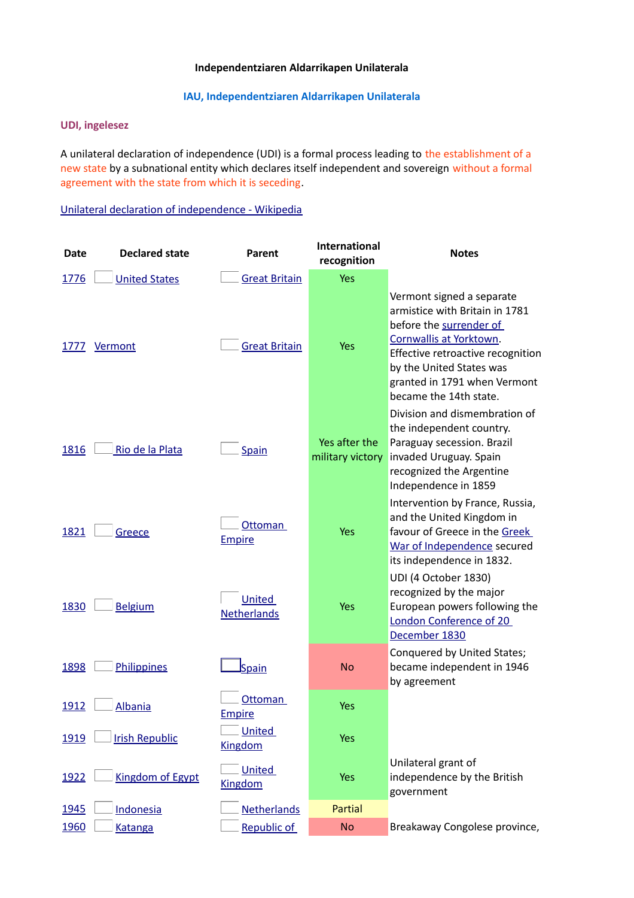### **Independentziaren Aldarrikapen Unilaterala**

### **IAU, Independentziaren Aldarrikapen Unilaterala**

### **UDI, ingelesez**

A unilateral declaration of independence (UDI) is a formal process leading to the establishment of a new state by a subnational entity which declares itself independent and sovereign without a formal agreement with the state from which it is seceding.

[Unilateral declaration of independence - Wikipedia](https://www.google.es/url?sa=t&rct=j&q=&esrc=s&source=web&cd=&cad=rja&uact=8&ved=2ahUKEwjM8ev6qezxAhXDAmMBHf9NBYwQFjABegQIAxAD&url=https%3A%2F%2Fen.wikipedia.org%2Fwiki%2FUnilateral_declaration_of_independence&usg=AOvVaw3DQMetV8FctEAk1dpMc6Kw)

| <b>Date</b> | <b>Declared state</b>   | Parent                          | <b>International</b><br>recognition | <b>Notes</b>                                                                                                                                                                                                                                 |
|-------------|-------------------------|---------------------------------|-------------------------------------|----------------------------------------------------------------------------------------------------------------------------------------------------------------------------------------------------------------------------------------------|
| 1776        | <b>United States</b>    | <b>Great Britain</b>            | Yes                                 |                                                                                                                                                                                                                                              |
| 1777        | Vermont                 | <b>Great Britain</b>            | <b>Yes</b>                          | Vermont signed a separate<br>armistice with Britain in 1781<br>before the surrender of<br>Cornwallis at Yorktown.<br>Effective retroactive recognition<br>by the United States was<br>granted in 1791 when Vermont<br>became the 14th state. |
| 1816        | Rio de la Plata         | Spain                           | Yes after the<br>military victory   | Division and dismembration of<br>the independent country.<br>Paraguay secession. Brazil<br>invaded Uruguay. Spain<br>recognized the Argentine<br>Independence in 1859                                                                        |
| 1821        | Greece                  | Ottoman<br><b>Empire</b>        | Yes                                 | Intervention by France, Russia,<br>and the United Kingdom in<br>favour of Greece in the Greek<br>War of Independence secured<br>its independence in 1832.                                                                                    |
| 1830        | <b>Belgium</b>          | United<br><b>Netherlands</b>    | Yes                                 | UDI (4 October 1830)<br>recognized by the major<br>European powers following the<br>London Conference of 20<br>December 1830                                                                                                                 |
| 1898        | <b>Philippines</b>      | Spain                           | <b>No</b>                           | Conquered by United States;<br>became independent in 1946<br>by agreement                                                                                                                                                                    |
| 1912        | <b>Albania</b>          | Ottoman<br><b>Empire</b>        | Yes                                 |                                                                                                                                                                                                                                              |
| 1919        | <b>Irish Republic</b>   | <b>United</b><br><b>Kingdom</b> | <b>Yes</b>                          |                                                                                                                                                                                                                                              |
| 1922        | <b>Kingdom of Egypt</b> | <b>United</b><br><b>Kingdom</b> | <b>Yes</b>                          | Unilateral grant of<br>independence by the British<br>government                                                                                                                                                                             |
| 1945        | Indonesia               | <b>Netherlands</b>              | <b>Partial</b>                      |                                                                                                                                                                                                                                              |
| 1960        | <b>Katanga</b>          | Republic of                     | <b>No</b>                           | Breakaway Congolese province,                                                                                                                                                                                                                |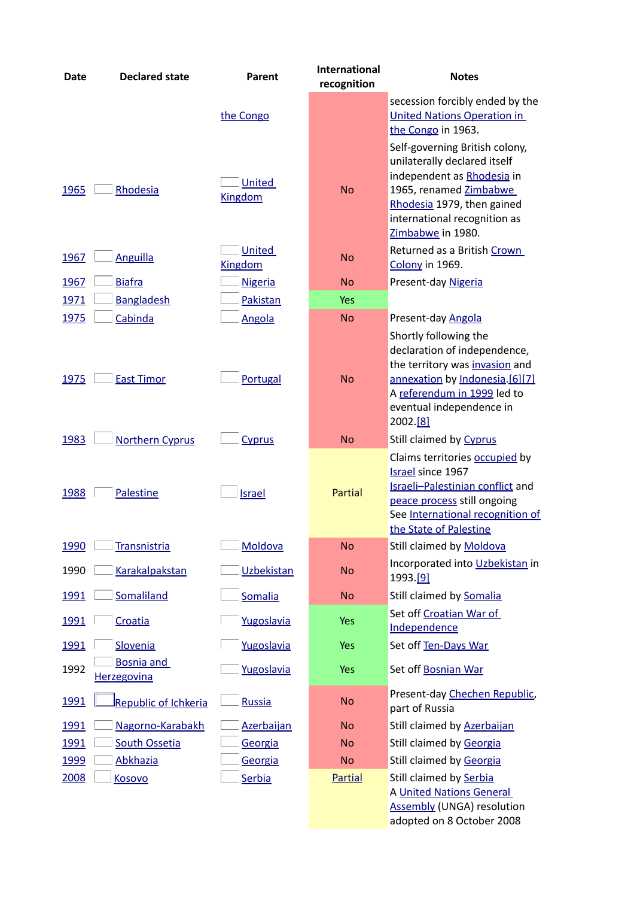| <b>Date</b> | <b>Declared state</b>                   | Parent                   | <b>International</b><br>recognition | <b>Notes</b>                                                                                                                                                                                              |
|-------------|-----------------------------------------|--------------------------|-------------------------------------|-----------------------------------------------------------------------------------------------------------------------------------------------------------------------------------------------------------|
|             |                                         | the Congo                |                                     | secession forcibly ended by the<br><b>United Nations Operation in</b><br>the Congo in 1963.                                                                                                               |
| 1965        | Rhodesia                                | United<br><b>Kingdom</b> | <b>No</b>                           | Self-governing British colony,<br>unilaterally declared itself<br>independent as Rhodesia in<br>1965, renamed Zimbabwe<br>Rhodesia 1979, then gained<br>international recognition as<br>Zimbabwe in 1980. |
| 1967        | <b>Anguilla</b>                         | <b>United</b><br>Kingdom | <b>No</b>                           | Returned as a British Crown<br>Colony in 1969.                                                                                                                                                            |
| 1967        | <b>Biafra</b>                           | <b>Nigeria</b>           | <b>No</b>                           | Present-day Nigeria                                                                                                                                                                                       |
| 1971        | <b>Bangladesh</b>                       | Pakistan                 | Yes                                 |                                                                                                                                                                                                           |
| 1975        | Cabinda                                 | <b>Angola</b>            | <b>No</b>                           | Present-day Angola                                                                                                                                                                                        |
| 1975        | <b>East Timor</b>                       | Portugal                 | <b>No</b>                           | Shortly following the<br>declaration of independence,<br>the territory was invasion and<br>annexation by Indonesia. [6][7]<br>A referendum in 1999 led to<br>eventual independence in<br>2002.[8]         |
| 1983        | <b>Northern Cyprus</b>                  | Cyprus                   | <b>No</b>                           | Still claimed by Cyprus                                                                                                                                                                                   |
| 1988        | Palestine                               | <b>Israel</b>            | Partial                             | Claims territories occupied by<br>Israel since 1967<br>Israeli-Palestinian conflict and<br>peace process still ongoing<br>See International recognition of<br>the State of Palestine                      |
| 1990        | <b>Transnistria</b>                     | Moldova                  | <b>No</b>                           | Still claimed by Moldova                                                                                                                                                                                  |
| 1990        | <b>Karakalpakstan</b>                   | <b>Uzbekistan</b>        | <b>No</b>                           | Incorporated into Uzbekistan in<br>1993.[9]                                                                                                                                                               |
| 1991        | Somaliland                              | Somalia                  | <b>No</b>                           | Still claimed by Somalia                                                                                                                                                                                  |
| 1991        | Croatia                                 | Yugoslavia               | <b>Yes</b>                          | Set off Croatian War of<br>Independence                                                                                                                                                                   |
| 1991        | Slovenia                                | Yugoslavia               | <b>Yes</b>                          | Set off Ten-Days War                                                                                                                                                                                      |
| 1992        | <b>Bosnia and</b><br><b>Herzegovina</b> | Yugoslavia               | <b>Yes</b>                          | Set off Bosnian War                                                                                                                                                                                       |
| 1991        | Republic of Ichkeria                    | Russia                   | <b>No</b>                           | Present-day Chechen Republic,<br>part of Russia                                                                                                                                                           |
| 1991        | Nagorno-Karabakh                        | <b>Azerbaijan</b>        | <b>No</b>                           | Still claimed by Azerbaijan                                                                                                                                                                               |
| 1991        | <b>South Ossetia</b>                    | Georgia                  | <b>No</b>                           | Still claimed by Georgia                                                                                                                                                                                  |
| 1999        | Abkhazia                                | Georgia                  | <b>No</b>                           | Still claimed by Georgia                                                                                                                                                                                  |
| 2008        | Kosovo                                  | Serbia                   | <b>Partial</b>                      | Still claimed by Serbia                                                                                                                                                                                   |
|             |                                         |                          |                                     | A United Nations General<br><b>Assembly (UNGA) resolution</b><br>adopted on 8 October 2008                                                                                                                |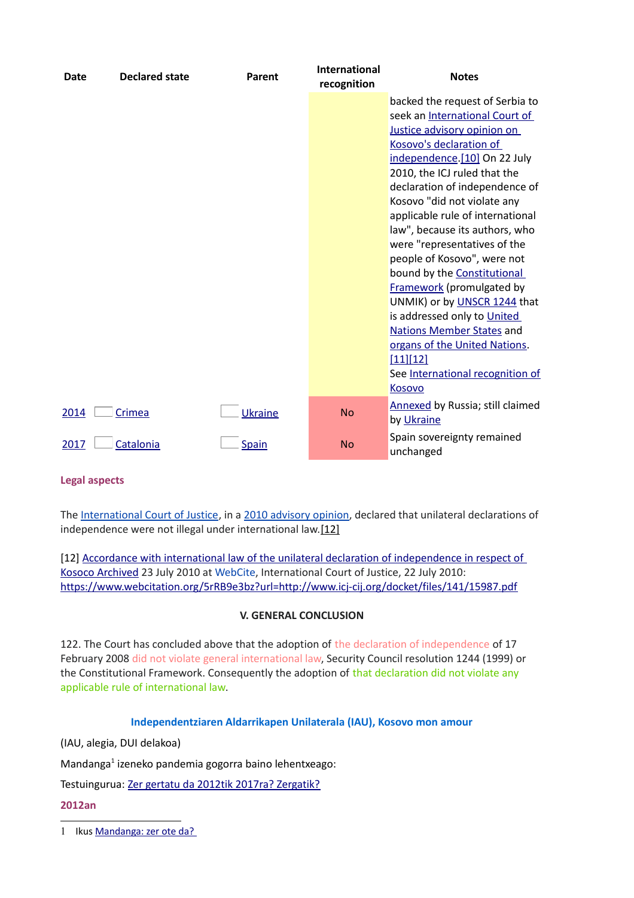| Date | <b>Declared state</b> | Parent  | <b>International</b><br>recognition | <b>Notes</b>                                          |
|------|-----------------------|---------|-------------------------------------|-------------------------------------------------------|
|      |                       |         |                                     | backed the request of Serbia to                       |
|      |                       |         |                                     | seek an International Court of                        |
|      |                       |         |                                     | Justice advisory opinion on                           |
|      |                       |         |                                     | Kosovo's declaration of                               |
|      |                       |         |                                     | independence.[10] On 22 July                          |
|      |                       |         |                                     | 2010, the ICJ ruled that the                          |
|      |                       |         |                                     | declaration of independence of                        |
|      |                       |         |                                     | Kosovo "did not violate any                           |
|      |                       |         |                                     | applicable rule of international                      |
|      |                       |         |                                     | law", because its authors, who                        |
|      |                       |         |                                     | were "representatives of the                          |
|      |                       |         |                                     | people of Kosovo", were not                           |
|      |                       |         |                                     | bound by the <b>Constitutional</b>                    |
|      |                       |         |                                     | <b>Framework</b> (promulgated by                      |
|      |                       |         |                                     | UNMIK) or by UNSCR 1244 that                          |
|      |                       |         |                                     | is addressed only to United                           |
|      |                       |         |                                     | <b>Nations Member States and</b>                      |
|      |                       |         |                                     | organs of the United Nations.                         |
|      |                       |         |                                     | [11][12]                                              |
|      |                       |         |                                     | See International recognition of                      |
|      |                       |         |                                     | Kosovo                                                |
| 2014 | Crimea                | Ukraine | <b>No</b>                           | <b>Annexed by Russia; still claimed</b><br>by Ukraine |
| 2017 | Catalonia             | Spain   | <b>No</b>                           | Spain sovereignty remained<br>unchanged               |

### **Legal aspects**

The [International Court of Justice,](https://en.wikipedia.org/wiki/International_Court_of_Justice) in a [2010 advisory opinion,](https://en.wikipedia.org/wiki/International_Court_of_Justice_advisory_opinion_on_Kosovo) declared that unilateral declarations of independence were not illegal under international law[.\[12\]](https://en.wikipedia.org/wiki/Unilateral_declaration_of_independence#cite_note-International_Court_of_Justice-12)

[12] Accordance with international law of the unilateral declaration of independence in respect of Kosoco [Archived](https://www.webcitation.org/5rRB9e3bz?url=http://www.icj-cij.org/docket/files/141/15987.pdf) 23 July 2010 at [WebCite,](https://en.wikipedia.org/wiki/WebCite) International Court of Justice, 22 July 2010: <https://www.webcitation.org/5rRB9e3bz?url=http://www.icj-cij.org/docket/files/141/15987.pdf>

### **V. GENERAL CONCLUSION**

122. The Court has concluded above that the adoption of the declaration of independence of 17 February 2008 did not violate general international law, Security Council resolution 1244 (1999) or the Constitutional Framework. Consequently the adoption of that declaration did not violate any applicable rule of international law.

### **Independentziaren Aldarrikapen Unilaterala (IAU), Kosovo mon amour**

(IAU, alegia, DUI delakoa)

Mandanga<sup>[1](#page-2-0)</sup> izeneko pandemia gogorra baino lehentxeago:

Testuingurua: [Zer gertatu da 2012tik 2017ra? Zergatik?](https://www.unibertsitatea.net/blogak/heterodoxia/2018/04/03/zer-gertatu-da-2012tik-2017ra-zergatik/)

**2012an**

<span id="page-2-0"></span>1 Ikus Mandanga: zer ote da?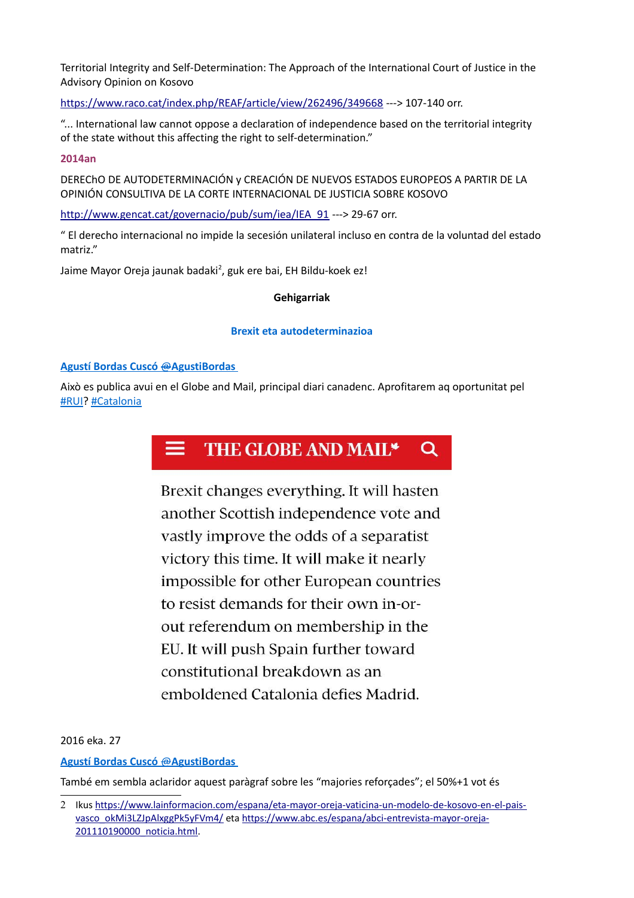Territorial Integrity and Self-Determination: The Approach of the International Court of Justice in the Advisory Opinion on Kosovo

<https://www.raco.cat/index.php/REAF/article/view/262496/349668>---> 107-140 orr.

"... International law cannot oppose a declaration of independence based on the territorial integrity of the state without this affecting the right to self-determination."

### **2014an**

DEREChO DE AUTODETERMINACIÓN y CREACIÓN DE NUEVOS ESTADOS EUROPEOS A PARTIR DE LA OPINIÓN CONSULTIVA DE LA CORTE INTERNACIONAL DE JUSTICIA SOBRE KOSOVO

[http://www.gencat.cat/governacio/pub/sum/iea/IEA\\_91](http://www.gencat.cat/governacio/pub/sum/iea/IEA_91.pdf) ---> 29-67 orr.

" El derecho internacional no impide la secesión unilateral incluso en contra de la voluntad del estado matriz."

Jaime Mayor Oreja jaunak badaki<sup>[2](#page-3-0)</sup>, guk ere bai, EH Bildu-koek ez!

### **Gehigarriak**

### **Brexit eta autodeterminazioa**

### **[Agustí Bordas Cuscó](https://twitter.com/AgustiBordas)** [@](https://twitter.com/AgustiBordas) **[AgustiBordas](https://twitter.com/AgustiBordas)**

Això es publica avui en el Globe and Mail, principal diari canadenc. Aprofitarem aq oportunitat pel  [#RUI?](https://twitter.com/hashtag/RUI?src=hash) [#Catalonia](https://twitter.com/hashtag/Catalonia?src=hash)

### THE GLOBE AND MAIL\*  $\Omega$

Brexit changes everything. It will hasten another Scottish independence vote and vastly improve the odds of a separatist victory this time. It will make it nearly impossible for other European countries to resist demands for their own in-orout referendum on membership in the EU. It will push Spain further toward constitutional breakdown as an emboldened Catalonia defies Madrid.

2016 eka. 27

 **[Agustí Bordas Cuscó](https://twitter.com/AgustiBordas)** [@](https://twitter.com/AgustiBordas) **[AgustiBordas](https://twitter.com/AgustiBordas)**

També em sembla aclaridor aquest paràgraf sobre les "majories reforçades"; el 50%+1 vot és

<span id="page-3-0"></span><sup>2</sup> Ikus [https://www.lainformacion.com/espana/eta-mayor-oreja-vaticina-un-modelo-de-kosovo-en-el-pais](https://www.lainformacion.com/espana/eta-mayor-oreja-vaticina-un-modelo-de-kosovo-en-el-pais-vasco_okMi3LZJpAlxggPk5yFVm4/)[vasco\\_okMi3LZJpAlxggPk5yFVm4/](https://www.lainformacion.com/espana/eta-mayor-oreja-vaticina-un-modelo-de-kosovo-en-el-pais-vasco_okMi3LZJpAlxggPk5yFVm4/) eta [https://www.abc.es/espana/abci-entrevista-mayor-oreja-](https://www.abc.es/espana/abci-entrevista-mayor-oreja-201110190000_noticia.html-)[201110190000\\_noticia.html.](https://www.abc.es/espana/abci-entrevista-mayor-oreja-201110190000_noticia.html-)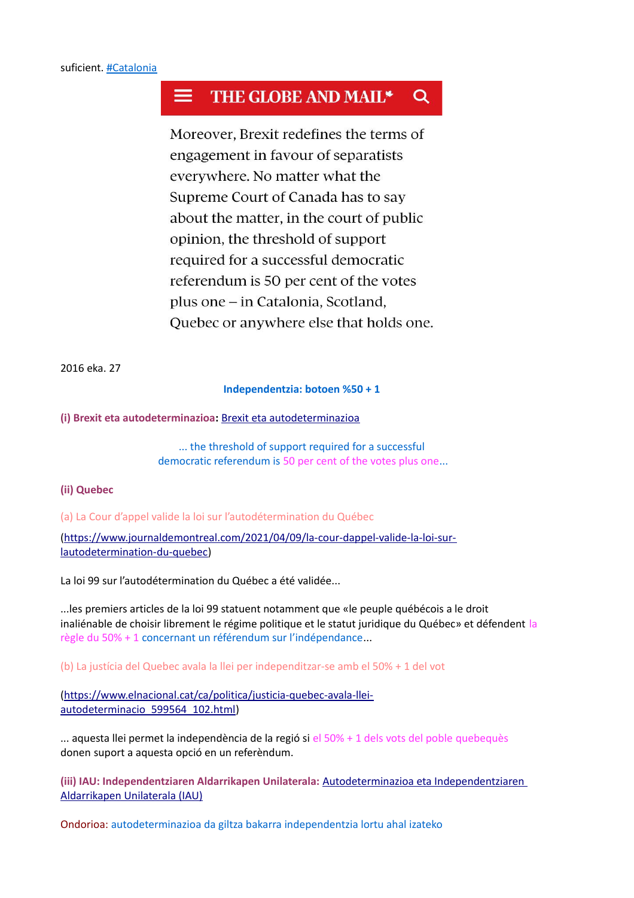### THE GLOBE AND MAIL\* Q

Moreover, Brexit redefines the terms of engagement in favour of separatists everywhere. No matter what the Supreme Court of Canada has to say about the matter, in the court of public opinion, the threshold of support required for a successful democratic referendum is 50 per cent of the votes plus one – in Catalonia, Scotland, Quebec or anywhere else that holds one.

2016 eka. 27

### **Independentzia: botoen %50 + 1**

**(i) Brexit eta autodeterminazioa:** [Brexit eta autodeterminazioa](https://www.unibertsitatea.net/blogak/heterodoxia/2016/06/28/brexit-eta-autodeterminazioa/)

... the threshold of support required for a successful democratic referendum is 50 per cent of the votes plus one...

### **(ii) Quebec**

(a) La Cour d'appel valide la loi sur l'autodétermination du Québec

[\(https://www.journaldemontreal.com/2021/04/09/la-cour-dappel-valide-la-loi-sur](https://www.journaldemontreal.com/2021/04/09/la-cour-dappel-valide-la-loi-sur-lautodetermination-du-quebec)[lautodetermination-du-quebec\)](https://www.journaldemontreal.com/2021/04/09/la-cour-dappel-valide-la-loi-sur-lautodetermination-du-quebec)

La loi 99 sur l'autodétermination du Québec a été validée...

...les premiers articles de la loi 99 statuent notamment que «le peuple québécois a le droit inaliénable de choisir librement le régime politique et le statut juridique du Québec» et défendent la règle du 50% + 1 concernant un référendum sur l'indépendance...

(b) La justícia del Quebec avala la llei per independitzar-se amb el 50% + 1 del vot

[\(https://www.elnacional.cat/ca/politica/justicia-quebec-avala-llei](https://www.elnacional.cat/ca/politica/justicia-quebec-avala-llei-autodeterminacio_599564_102.html)[autodeterminacio\\_599564\\_102.html\)](https://www.elnacional.cat/ca/politica/justicia-quebec-avala-llei-autodeterminacio_599564_102.html)

... aquesta llei permet la independència de la regió si el 50% + 1 dels vots del poble quebequès donen suport a aquesta opció en un referèndum.

**(iii) IAU: Independentziaren Aldarrikapen Unilaterala:** [Autodeterminazioa eta Independentziaren](https://www.unibertsitatea.net/blogak/heterodoxia/2021/04/04/autodeterminazioa-eta-independentziaren-aldarrikapen-unilaterala-iau/)  [Aldarrikapen Unilaterala \(IAU\)](https://www.unibertsitatea.net/blogak/heterodoxia/2021/04/04/autodeterminazioa-eta-independentziaren-aldarrikapen-unilaterala-iau/)

Ondorioa: autodeterminazioa da giltza bakarra independentzia lortu ahal izateko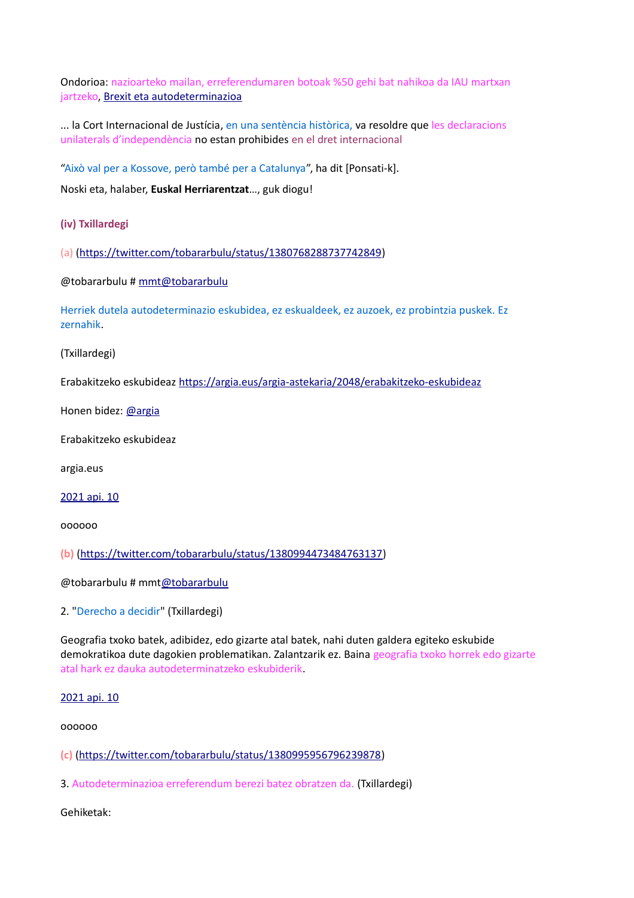Ondorioa: nazioarteko mailan, erreferendumaren botoak %50 gehi bat nahikoa da IAU martxan jartzeko, [Brexit eta autodeterminazioa](https://www.unibertsitatea.net/blogak/heterodoxia/2016/06/28/brexit-eta-autodeterminazioa/)

... la Cort Internacional de Justícia, en una sentència històrica, va resoldre que les declaracions unilaterals d'independència no estan prohibides en el dret internacional

"Això val per a Kossove, però també per a Catalunya", ha dit [Ponsati-k].

Noski eta, halaber, **Euskal Herriarentzat**…, guk diogu!

**(iv) Txillardegi**

(a) [\(https://twitter.com/tobararbulu/status/1380768288737742849\)](https://twitter.com/tobararbulu/status/1380768288737742849)

@tobararbulu # [mmt@tobararbulu](mailto:mmt@tobararbulu)

Herriek dutela autodeterminazio eskubidea, ez eskualdeek, ez auzoek, ez probintzia puskek. Ez zernahik.

(Txillardegi)

Erabakitzeko eskubideaz [https://argia.eus/argia-astekaria/2048/erabakitzeko-eskubideaz](https://t.co/KfZ775vAbZ?amp=1)

Honen bidez: [@argia](https://twitter.com/argia)

Erabakitzeko eskubideaz

argia.eus

[2021 api. 10](https://twitter.com/tobararbulu/status/1380768288737742849)

oooooo

**(b)** [\(https://twitter.com/tobararbulu/status/1380994473484763137\)](https://twitter.com/tobararbulu/status/1380994473484763137)

@tobararbulu # mm[t@tobararbulu](https://twitter.com/tobararbulu)

2. "Derecho a decidir" (Txillardegi)

Geografia txoko batek, adibidez, edo gizarte atal batek, nahi duten galdera egiteko eskubide demokratikoa dute dagokien problematikan. Zalantzarik ez. Baina geografia txoko horrek edo gizarte atal hark ez dauka autodeterminatzeko eskubiderik.

[2021 api. 10](https://twitter.com/tobararbulu/status/1380769127854379009)

oooooo

**(c)** [\(https://twitter.com/tobararbulu/status/1380995956796239878\)](https://twitter.com/tobararbulu/status/1380995956796239878)

3. Autodeterminazioa erreferendum berezi batez obratzen da. (Txillardegi)

Gehiketak: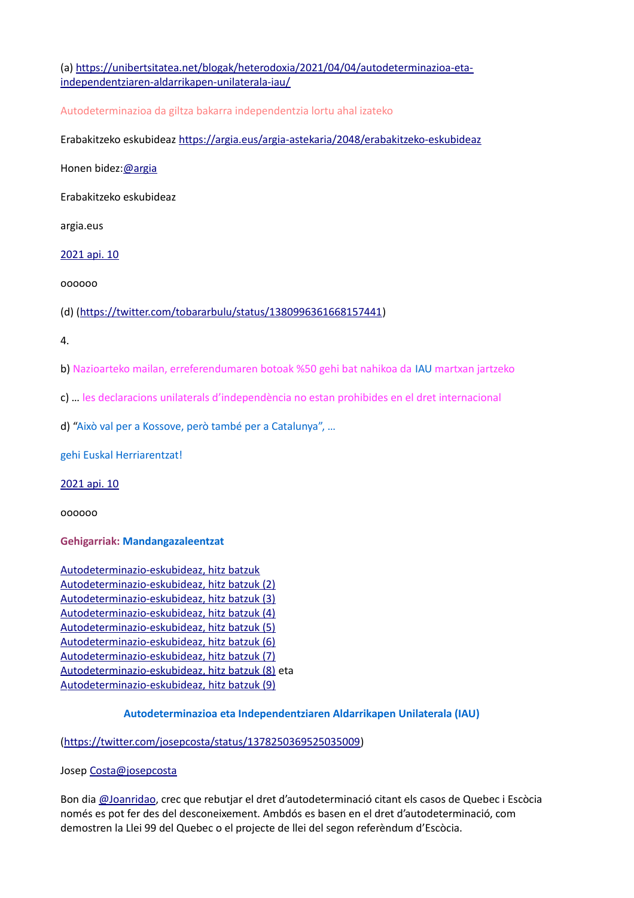(a) [https://unibertsitatea.net/blogak/heterodoxia/2021/04/04/autodeterminazioa-eta](https://unibertsitatea.net/blogak/heterodoxia/2021/04/04/autodeterminazioa-eta-independentziaren-aldarrikapen-unilaterala-iau/)[independentziaren-aldarrikapen-unilaterala-iau/](https://unibertsitatea.net/blogak/heterodoxia/2021/04/04/autodeterminazioa-eta-independentziaren-aldarrikapen-unilaterala-iau/)

Autodeterminazioa da giltza bakarra independentzia lortu ahal izateko

Erabakitzeko eskubideaz [https://argia.eus/argia-astekaria/2048/erabakitzeko-eskubideaz](https://t.co/KfZ775vAbZ?amp=1)

Honen bidez[:@argia](https://twitter.com/argia)

Erabakitzeko eskubideaz

argia.eus

[2021 api. 10](https://twitter.com/tobararbulu/status/1380771219071500292)

oooooo

(d) [\(https://twitter.com/tobararbulu/status/1380996361668157441\)](https://twitter.com/tobararbulu/status/1380996361668157441)

4.

b) Nazioarteko mailan, erreferendumaren botoak %50 gehi bat nahikoa da IAU martxan jartzeko

c) … les declaracions unilaterals d'independència no estan prohibides en el dret internacional

d) "Això val per a Kossove, però també per a Catalunya", …

gehi Euskal Herriarentzat!

[2021 api. 10](https://twitter.com/tobararbulu/status/1380772261158907904)

oooooo

**Gehigarriak: Mandangazaleentzat**

[Autodeterminazio-eskubideaz, hitz batzuk](http://www.unibertsitatea.net/otarrea/gizarte-zientziak/ekonomia/autodeterminazio-eskubideaz-hitz-batzuk) [Autodeterminazio-eskubideaz, hitz batzuk \(2\)](http://www.unibertsitatea.net/otarrea/gizarte-zientziak/ekonomia/autodeterminazio-eskubideaz-hitz-batzuk-2) [Autodeterminazio-eskubideaz, hitz batzuk \(3\)](http://www.unibertsitatea.net/apunteak/gizarte-zientziak/ekonomia/autodeterminazio-eskubideaz-hitz-batzuk-3) [Autodeterminazio-eskubideaz, hitz batzuk \(4\)](https://www.unibertsitatea.net/apunteak/gizarte-zientziak/ekonomia/autodeterminazio-eskubideaz-hitz-batzuk-4) [Autodeterminazio-eskubideaz, hitz batzuk \(5\)](https://www.unibertsitatea.net/apunteak/gizarte-zientziak/ekonomia/autodeterminazio-eskubideaz-hitz-batzuk-5) [Autodeterminazio-eskubideaz, hitz batzuk \(6\)](https://www.unibertsitatea.net/apunteak/gizarte-zientziak/ekonomia/autodeterminazio-eskubideaz-hitz-batzuk-6) [Autodeterminazio-eskubideaz, hitz batzuk \(7\)](https://www.unibertsitatea.net/apunteak/gizarte-zientziak/ekonomia/autodeterminazio-eskubideaz-hitz-batzuk-7) [Autodeterminazio-eskubideaz, hitz batzuk \(8\)](https://www.unibertsitatea.net/apunteak/gizarte-zientziak/ekonomia/autodeterminazio-eskubideaz-hitz-batzuk-8) eta  [Autodeterminazio-eskubideaz, hitz batzuk \(9\)](https://www.unibertsitatea.net/apunteak/gizarte-zientziak/ekonomia/autodeterminazio-eskubideaz-hitz-batzuk-9)

### **Autodeterminazioa eta Independentziaren Aldarrikapen Unilaterala (IAU)**

[\(https://twitter.com/josepcosta/status/1378250369525035009\)](https://twitter.com/josepcosta/status/1378250369525035009)

Josep [Costa@josepcosta](mailto:Costa@josepcosta)

Bon dia [@Joanridao,](https://twitter.com/Joanridao) crec que rebutjar el dret d'autodeterminació citant els casos de Quebec i Escòcia només es pot fer des del desconeixement. Ambdós es basen en el dret d'autodeterminació, com demostren la Llei 99 del Quebec o el projecte de llei del segon referèndum d'Escòcia.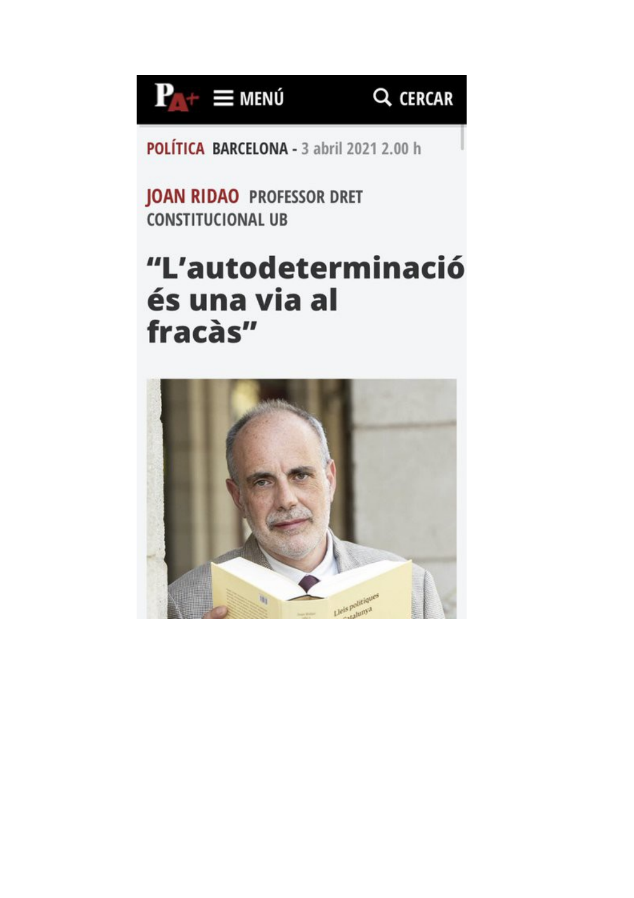

## Q CERCAR

POLÍTICA BARCELONA - 3 abril 2021 2.00 h

**JOAN RIDAO PROFESSOR DRET CONSTITUCIONAL UB** 

# "L'autodeterminació és una via al fracàs"

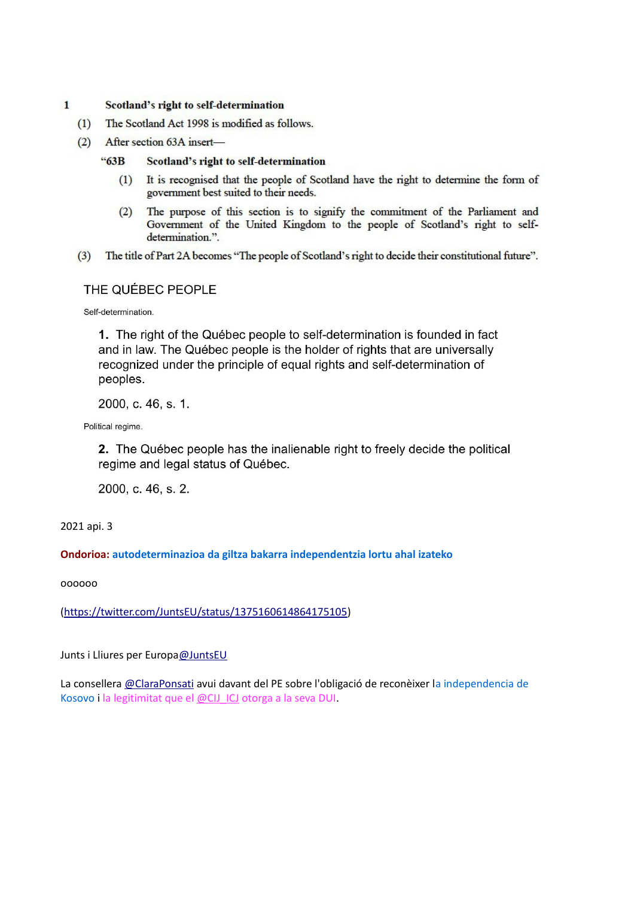#### $\mathbf{1}$ Scotland's right to self-determination

- The Scotland Act 1998 is modified as follows.  $(1)$
- (2) After section 63A insert-

#### $-63B$ Scotland's right to self-determination

- $(1)$ It is recognised that the people of Scotland have the right to determine the form of government best suited to their needs.
- The purpose of this section is to signify the commitment of the Parliament and  $(2)$ Government of the United Kingdom to the people of Scotland's right to selfdetermination.".
- The title of Part 2A becomes "The people of Scotland's right to decide their constitutional future".  $(3)$

### THE QUÉBEC PEOPLE

Self-determination.

1. The right of the Québec people to self-determination is founded in fact and in law. The Québec people is the holder of rights that are universally recognized under the principle of equal rights and self-determination of peoples.

2000, c. 46, s. 1.

Political regime.

2. The Québec people has the inalienable right to freely decide the political regime and legal status of Québec.

2000, c. 46, s. 2.

2021 api. 3

### **Ondorioa: autodeterminazioa da giltza bakarra independentzia lortu ahal izateko**

oooooo

[\(https://twitter.com/JuntsEU/status/1375160614864175105\)](https://twitter.com/JuntsEU/status/1375160614864175105)

Junts i Lliures per Europ[a@JuntsEU](https://twitter.com/JuntsEU)

La consellera [@ClaraPonsati](https://twitter.com/ClaraPonsati) avui davant del PE sobre l'obligació de reconèixer la independencia de Kosovo i la legitimitat que el [@CIJ\\_ICJ](https://twitter.com/CIJ_ICJ) otorga a la seva DUI.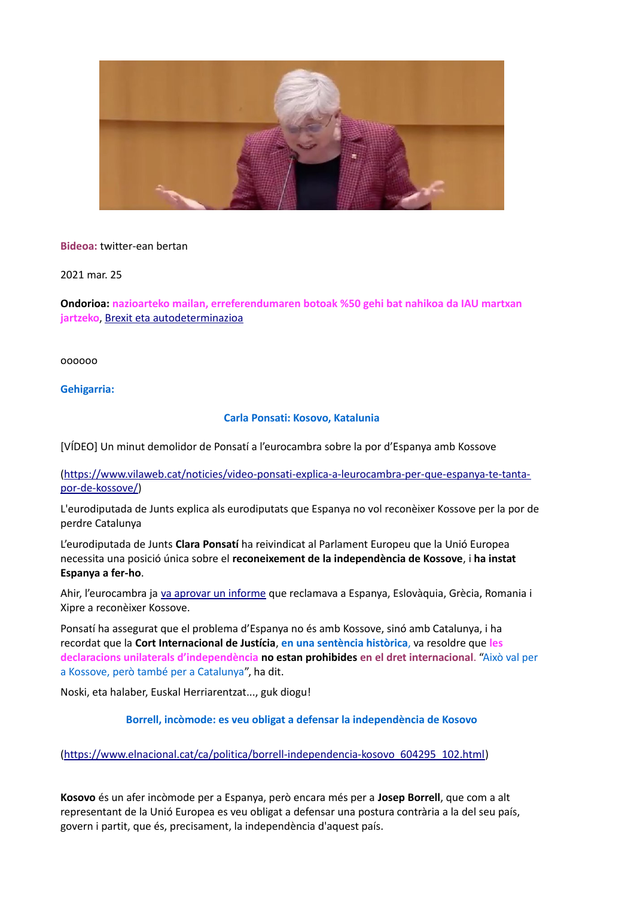

**Bideoa:** twitter-ean bertan

2021 mar. 25

**Ondorioa: nazioarteko mailan, erreferendumaren botoak %50 gehi bat nahikoa da IAU martxan jartzeko**, [Brexit eta autodeterminazioa](https://www.unibertsitatea.net/blogak/heterodoxia/2016/06/28/brexit-eta-autodeterminazioa/)

oooooo

**Gehigarria:**

### **Carla Ponsati: Kosovo, Katalunia**

[VÍDEO] Un minut demolidor de Ponsatí a l'eurocambra sobre la por d'Espanya amb Kossove

[\(https://www.vilaweb.cat/noticies/video-ponsati-explica-a-leurocambra-per-que-espanya-te-tanta](https://www.vilaweb.cat/noticies/video-ponsati-explica-a-leurocambra-per-que-espanya-te-tanta-por-de-kossove/)[por-de-kossove/\)](https://www.vilaweb.cat/noticies/video-ponsati-explica-a-leurocambra-per-que-espanya-te-tanta-por-de-kossove/)

L'eurodiputada de Junts explica als eurodiputats que Espanya no vol reconèixer Kossove per la por de perdre Catalunya

L'eurodiputada de Junts **Clara Ponsatí** ha reivindicat al Parlament Europeu que la Unió Europea necessita una posició única sobre el **reconeixement de la independència de Kossove**, i **ha instat Espanya a fer-ho**.

Ahir, l'eurocambra ja [va aprovar un informe](https://www.vilaweb.cat/noticies/el-parlament-europeu-torna-a-instar-espanya-i-quatre-estats-mes-de-la-ue-a-reconeixer-kossove/) que reclamava a Espanya, Eslovàquia, Grècia, Romania i Xipre a reconèixer Kossove.

Ponsatí ha assegurat que el problema d'Espanya no és amb Kossove, sinó amb Catalunya, i ha recordat que la **Cort Internacional de Justícia**, **en una sentència històrica**, va resoldre que **les declaracions unilaterals d'independència no estan prohibides en el dret internacional**. "Això val per a Kossove, però també per a Catalunya", ha dit.

Noski, eta halaber, Euskal Herriarentzat..., guk diogu!

**Borrell, incòmode: es veu obligat a defensar la independència de Kosovo**

[\(https://www.elnacional.cat/ca/politica/borrell-independencia-kosovo\\_604295\\_102.html\)](https://www.elnacional.cat/ca/politica/borrell-independencia-kosovo_604295_102.html)

**Kosovo** és un afer incòmode per a Espanya, però encara més per a **Josep Borrell**, que com a alt representant de la Unió Europea es veu obligat a defensar una postura contrària a la del seu país, govern i partit, que és, precisament, la independència d'aquest país.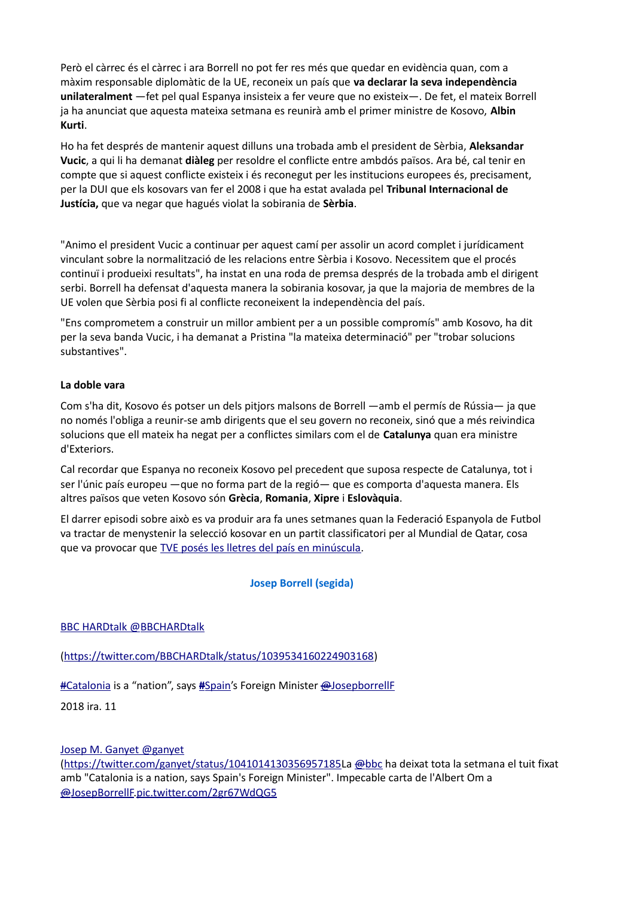Però el càrrec és el càrrec i ara Borrell no pot fer res més que quedar en evidència quan, com a màxim responsable diplomàtic de la UE, reconeix un país que **va declarar la seva independència unilateralment** —fet pel qual Espanya insisteix a fer veure que no existeix—. De fet, el mateix Borrell ja ha anunciat que aquesta mateixa setmana es reunirà amb el primer ministre de Kosovo, **Albin Kurti**.

Ho ha fet després de mantenir aquest dilluns una trobada amb el president de Sèrbia, **Aleksandar Vucic**, a qui li ha demanat **diàleg** per resoldre el conflicte entre ambdós països. Ara bé, cal tenir en compte que si aquest conflicte existeix i és reconegut per les institucions europees és, precisament, per la DUI que els kosovars van fer el 2008 i que ha estat avalada pel **Tribunal Internacional de Justícia,** que va negar que hagués violat la sobirania de **Sèrbia**.

"Animo el president Vucic a continuar per aquest camí per assolir un acord complet i jurídicament vinculant sobre la normalització de les relacions entre Sèrbia i Kosovo. Necessitem que el procés continuï i produeixi resultats", ha instat en una roda de premsa després de la trobada amb el dirigent serbi. Borrell ha defensat d'aquesta manera la sobirania kosovar, ja que la majoria de membres de la UE volen que Sèrbia posi fi al conflicte reconeixent la independència del país.

"Ens comprometem a construir un millor ambient per a un possible compromís" amb Kosovo, ha dit per la seva banda Vucic, i ha demanat a Pristina "la mateixa determinació" per "trobar solucions substantives".

### **La doble vara**

Com s'ha dit, Kosovo és potser un dels pitjors malsons de Borrell —amb el permís de Rússia— ja que no només l'obliga a reunir-se amb dirigents que el seu govern no reconeix, sinó que a més reivindica solucions que ell mateix ha negat per a conflictes similars com el de **Catalunya** quan era ministre d'Exteriors.

Cal recordar que Espanya no reconeix Kosovo pel precedent que suposa respecte de Catalunya, tot i ser l'únic país europeu —que no forma part de la regió— que es comporta d'aquesta manera. Els altres països que veten Kosovo són **Grècia**, **Romania**, **Xipre** i **Eslovàquia**.

El darrer episodi sobre això es va produir ara fa unes setmanes quan la Federació Espanyola de Futbol va tractar de menystenir la selecció kosovar en un partit classificatori per al Mundial de Qatar, cosa que va provocar que [TVE posés les lletres del país en minúscula.](https://www.elnacional.cat/ca/politica/indignacio-kosovo-tve-prohibit-nom-himne_597023_102.html)

### **Josep Borrell (segida)**

### [BBC HARDtalk @BBCHARDtalk](https://twitter.com/BBCHARDtalk)

[\(https://twitter.com/BBCHARDtalk/status/1039534160224903168\)](https://twitter.com/BBCHARDtalk/status/1039534160224903168)

 [#Catalonia](https://twitter.com/hashtag/Catalonia?src=hash) is a "nation", says **[#](https://twitter.com/hashtag/Spain?src=hash)**[Spain'](https://twitter.com/hashtag/Spain?src=hash)s Foreign Minister [@JosepborrellF](https://twitter.com/JosepBorrellF)

2018 ira. 11

### [Josep M. Ganyet @ganyet](https://twitter.com/ganyet)

[\(https://twitter.com/ganyet/status/1041014130356957185L](https://twitter.com/ganyet/status/1041014130356957185)a [@bbc](https://twitter.com/BBC) ha deixat tota la setmana el tuit fixat amb "Catalonia is a nation, says Spain's Foreign Minister". Impecable carta de l'Albert Om a  [@JosepBorrellF](https://twitter.com/JosepBorrellF)[.pic.twitter.com/2gr67WdQG5](https://t.co/2gr67WdQG5)